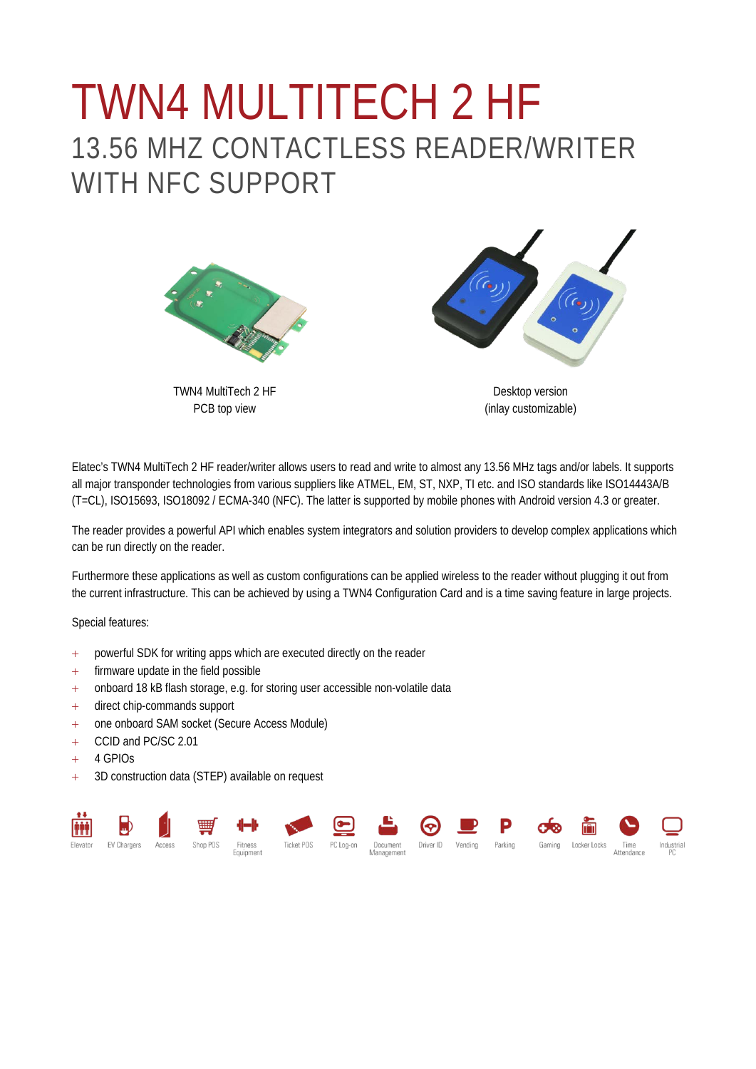## TWN4 MULTITECH 2 HF 13.56 MHZ CONTACTLESS READER/WRITER WITH NFC SUPPORT



TWN4 MultiTech 2 HF PCB top view

Desktop version (inlay customizable)

Elatec's TWN4 MultiTech 2 HF reader/writer allows users to read and write to almost any 13.56 MHz tags and/or labels. It supports all major transponder technologies from various suppliers like ATMEL, EM, ST, NXP, TI etc. and ISO standards like ISO14443A/B (T=CL), ISO15693, ISO18092 / ECMA-340 (NFC). The latter is supported by mobile phones with Android version 4.3 or greater.

The reader provides a powerful API which enables system integrators and solution providers to develop complex applications which can be run directly on the reader.

Furthermore these applications as well as custom configurations can be applied wireless to the reader without plugging it out from the current infrastructure. This can be achieved by using a TWN4 Configuration Card and is a time saving feature in large projects.

Special features:

- + powerful SDK for writing apps which are executed directly on the reader
- + firmware update in the field possible
- + onboard 18 kB flash storage, e.g. for storing user accessible non-volatile data
- + direct chip-commands support
- + one onboard SAM socket (Secure Access Module)
- + CCID and PC/SC 2.01
- $+ 4$  GPIOs
- + 3D construction data (STEP) available on request

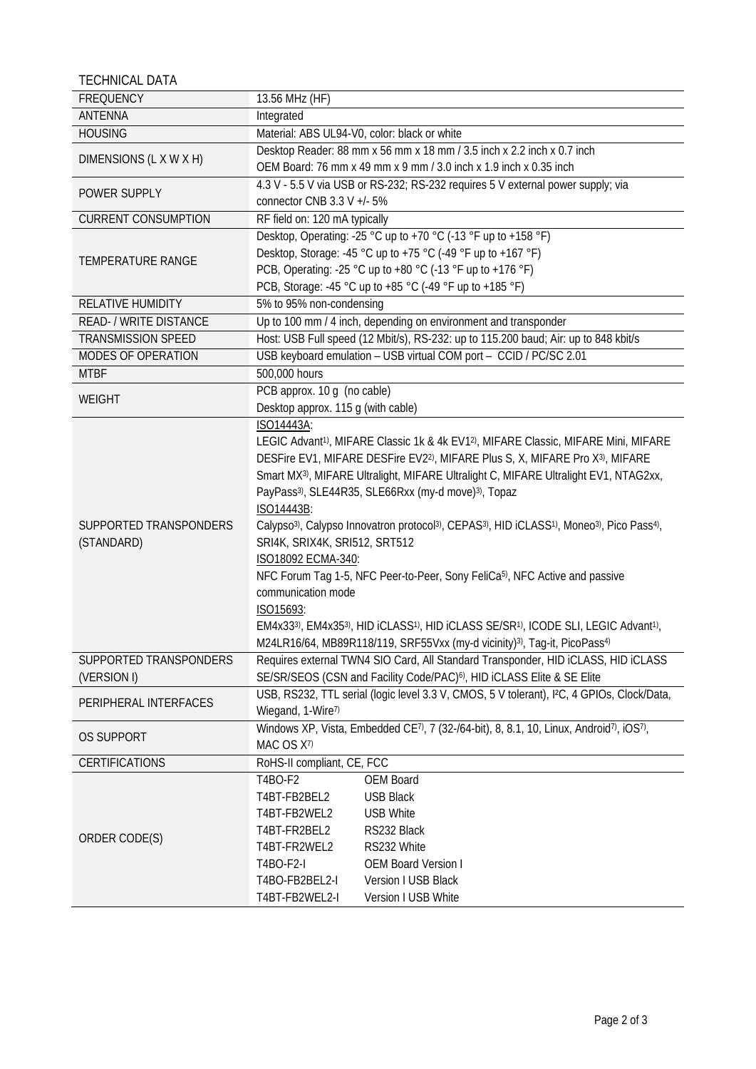TECHNICAL DATA

| <b>FREQUENCY</b>           | 13.56 MHz (HF)                                                                                                                                                       |  |  |
|----------------------------|----------------------------------------------------------------------------------------------------------------------------------------------------------------------|--|--|
| ANTENNA                    | Integrated                                                                                                                                                           |  |  |
| <b>HOUSING</b>             | Material: ABS UL94-V0, color: black or white                                                                                                                         |  |  |
| DIMENSIONS (L X W X H)     | Desktop Reader: 88 mm x 56 mm x 18 mm / 3.5 inch x 2.2 inch x 0.7 inch                                                                                               |  |  |
|                            | OEM Board: 76 mm x 49 mm x 9 mm / 3.0 inch x 1.9 inch x 0.35 inch                                                                                                    |  |  |
|                            | 4.3 V - 5.5 V via USB or RS-232; RS-232 requires 5 V external power supply; via                                                                                      |  |  |
| POWER SUPPLY               | connector CNB 3.3 V +/- 5%                                                                                                                                           |  |  |
| <b>CURRENT CONSUMPTION</b> | RF field on: 120 mA typically                                                                                                                                        |  |  |
|                            | Desktop, Operating: -25 °C up to +70 °C (-13 °F up to +158 °F)                                                                                                       |  |  |
|                            | Desktop, Storage: -45 °C up to +75 °C (-49 °F up to +167 °F)                                                                                                         |  |  |
| <b>TEMPERATURE RANGE</b>   | PCB, Operating: -25 °C up to +80 °C (-13 °F up to +176 °F)                                                                                                           |  |  |
|                            | PCB, Storage: -45 °C up to +85 °C (-49 °F up to +185 °F)                                                                                                             |  |  |
| RELATIVE HUMIDITY          | 5% to 95% non-condensing                                                                                                                                             |  |  |
| READ- / WRITE DISTANCE     | Up to 100 mm / 4 inch, depending on environment and transponder                                                                                                      |  |  |
| TRANSMISSION SPEED         | Host: USB Full speed (12 Mbit/s), RS-232: up to 115.200 baud; Air: up to 848 kbit/s                                                                                  |  |  |
| MODES OF OPERATION         | USB keyboard emulation - USB virtual COM port - CCID / PC/SC 2.01                                                                                                    |  |  |
| <b>MTBF</b>                | 500,000 hours                                                                                                                                                        |  |  |
|                            | PCB approx. 10 g (no cable)                                                                                                                                          |  |  |
| <b>WEIGHT</b>              | Desktop approx. 115 g (with cable)                                                                                                                                   |  |  |
|                            | ISO14443A:                                                                                                                                                           |  |  |
|                            | LEGIC Advant <sup>1)</sup> , MIFARE Classic 1k & 4k EV1 <sup>2</sup> ), MIFARE Classic, MIFARE Mini, MIFARE                                                          |  |  |
|                            | DESFire EV1, MIFARE DESFire EV2 <sup>2)</sup> , MIFARE Plus S, X, MIFARE Pro X <sup>3)</sup> , MIFARE                                                                |  |  |
|                            | Smart MX <sup>3)</sup> , MIFARE Ultralight, MIFARE Ultralight C, MIFARE Ultralight EV1, NTAG2xx,                                                                     |  |  |
|                            | PayPass <sup>3)</sup> , SLE44R35, SLE66Rxx (my-d move) <sup>3)</sup> , Topaz                                                                                         |  |  |
|                            | ISO14443B:                                                                                                                                                           |  |  |
| SUPPORTED TRANSPONDERS     | Calypso <sup>3)</sup> , Calypso Innovatron protocol <sup>3)</sup> , CEPAS <sup>3)</sup> , HID iCLASS <sup>1)</sup> , Moneo <sup>3)</sup> , Pico Pass <sup>4)</sup> , |  |  |
| (STANDARD)                 | SRI4K, SRIX4K, SRI512, SRT512                                                                                                                                        |  |  |
|                            | ISO18092 ECMA-340:                                                                                                                                                   |  |  |
|                            | NFC Forum Tag 1-5, NFC Peer-to-Peer, Sony FeliCa <sup>5)</sup> , NFC Active and passive                                                                              |  |  |
|                            | communication mode                                                                                                                                                   |  |  |
|                            | ISO15693:                                                                                                                                                            |  |  |
|                            | EM4x333), EM4x353), HID iCLASS1), HID iCLASS SE/SR1), ICODE SLI, LEGIC Advant1),                                                                                     |  |  |
|                            | M24LR16/64, MB89R118/119, SRF55Vxx (my-d vicinity) <sup>3)</sup> , Tag-it, PicoPass <sup>4)</sup>                                                                    |  |  |
| SUPPORTED TRANSPONDERS     | Requires external TWN4 SIO Card, All Standard Transponder, HID iCLASS, HID iCLASS                                                                                    |  |  |
| (VERSION I)                | SE/SR/SEOS (CSN and Facility Code/PAC) <sup>6)</sup> , HID iCLASS Elite & SE Elite                                                                                   |  |  |
| PERIPHERAL INTERFACES      | USB, RS232, TTL serial (logic level 3.3 V, CMOS, 5 V tolerant), I <sup>2</sup> C, 4 GPIOs, Clock/Data,                                                               |  |  |
|                            | Wiegand, 1-Wire7)                                                                                                                                                    |  |  |
|                            | Windows XP, Vista, Embedded CE <sup>7)</sup> , 7 (32-/64-bit), 8, 8.1, 10, Linux, Android <sup>7)</sup> , iOS <sup>7)</sup> ,                                        |  |  |
| <b>OS SUPPORT</b>          | MAC OS X7)                                                                                                                                                           |  |  |
| <b>CERTIFICATIONS</b>      | RoHS-II compliant, CE, FCC                                                                                                                                           |  |  |
| ORDER CODE(S)              | T4BO-F2<br>OEM Board                                                                                                                                                 |  |  |
|                            | <b>USB Black</b><br>T4BT-FB2BEL2                                                                                                                                     |  |  |
|                            | T4BT-FB2WEL2<br><b>USB White</b>                                                                                                                                     |  |  |
|                            | T4BT-FR2BEL2<br>RS232 Black                                                                                                                                          |  |  |
|                            | T4BT-FR2WEL2<br>RS232 White                                                                                                                                          |  |  |
|                            | T4BO-F2-I<br><b>OEM Board Version I</b>                                                                                                                              |  |  |
|                            | T4BO-FB2BEL2-I<br>Version I USB Black                                                                                                                                |  |  |
|                            | T4BT-FB2WEL2-I<br>Version I USB White                                                                                                                                |  |  |